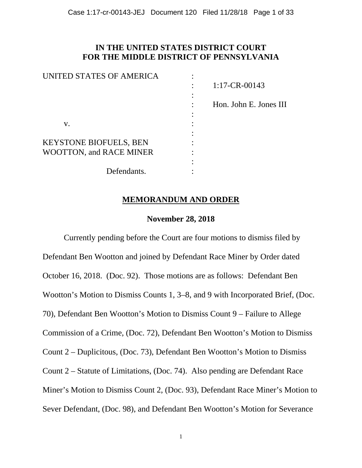## **IN THE UNITED STATES DISTRICT COURT FOR THE MIDDLE DISTRICT OF PENNSYLVANIA**

| $1:17$ -CR-00143       |
|------------------------|
|                        |
| Hon. John E. Jones III |
|                        |
|                        |
|                        |
|                        |
|                        |
|                        |
|                        |
|                        |

### **MEMORANDUM AND ORDER**

### **November 28, 2018**

Currently pending before the Court are four motions to dismiss filed by Defendant Ben Wootton and joined by Defendant Race Miner by Order dated October 16, 2018. (Doc. 92). Those motions are as follows: Defendant Ben Wootton's Motion to Dismiss Counts 1, 3–8, and 9 with Incorporated Brief, (Doc. 70), Defendant Ben Wootton's Motion to Dismiss Count 9 – Failure to Allege Commission of a Crime, (Doc. 72), Defendant Ben Wootton's Motion to Dismiss Count 2 – Duplicitous, (Doc. 73), Defendant Ben Wootton's Motion to Dismiss Count 2 – Statute of Limitations, (Doc. 74). Also pending are Defendant Race Miner's Motion to Dismiss Count 2, (Doc. 93), Defendant Race Miner's Motion to Sever Defendant, (Doc. 98), and Defendant Ben Wootton's Motion for Severance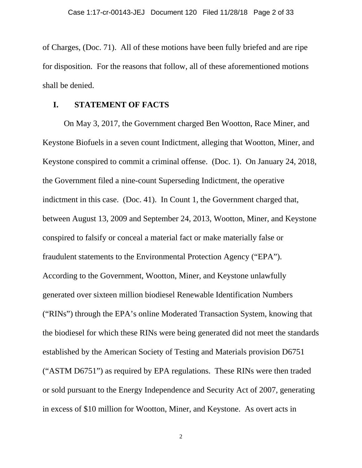of Charges, (Doc. 71). All of these motions have been fully briefed and are ripe for disposition. For the reasons that follow, all of these aforementioned motions shall be denied.

### **I. STATEMENT OF FACTS**

On May 3, 2017, the Government charged Ben Wootton, Race Miner, and Keystone Biofuels in a seven count Indictment, alleging that Wootton, Miner, and Keystone conspired to commit a criminal offense. (Doc. 1). On January 24, 2018, the Government filed a nine-count Superseding Indictment, the operative indictment in this case. (Doc. 41). In Count 1, the Government charged that, between August 13, 2009 and September 24, 2013, Wootton, Miner, and Keystone conspired to falsify or conceal a material fact or make materially false or fraudulent statements to the Environmental Protection Agency ("EPA"). According to the Government, Wootton, Miner, and Keystone unlawfully generated over sixteen million biodiesel Renewable Identification Numbers ("RINs") through the EPA's online Moderated Transaction System, knowing that the biodiesel for which these RINs were being generated did not meet the standards established by the American Society of Testing and Materials provision D6751 ("ASTM D6751") as required by EPA regulations. These RINs were then traded or sold pursuant to the Energy Independence and Security Act of 2007, generating in excess of \$10 million for Wootton, Miner, and Keystone. As overt acts in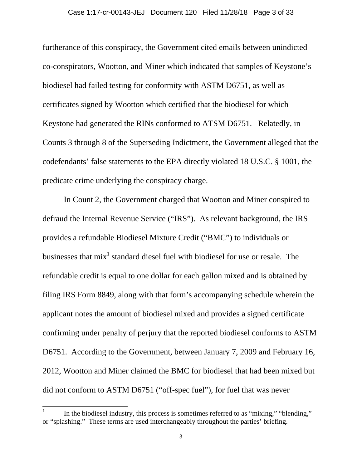furtherance of this conspiracy, the Government cited emails between unindicted co-conspirators, Wootton, and Miner which indicated that samples of Keystone's biodiesel had failed testing for conformity with ASTM D6751, as well as certificates signed by Wootton which certified that the biodiesel for which Keystone had generated the RINs conformed to ATSM D6751. Relatedly, in Counts 3 through 8 of the Superseding Indictment, the Government alleged that the codefendants' false statements to the EPA directly violated 18 U.S.C. § 1001, the predicate crime underlying the conspiracy charge.

In Count 2, the Government charged that Wootton and Miner conspired to defraud the Internal Revenue Service ("IRS"). As relevant background, the IRS provides a refundable Biodiesel Mixture Credit ("BMC") to individuals or businesses that  $mix<sup>1</sup>$  standard diesel fuel with biodiesel for use or resale. The refundable credit is equal to one dollar for each gallon mixed and is obtained by filing IRS Form 8849, along with that form's accompanying schedule wherein the applicant notes the amount of biodiesel mixed and provides a signed certificate confirming under penalty of perjury that the reported biodiesel conforms to ASTM D6751. According to the Government, between January 7, 2009 and February 16, 2012, Wootton and Miner claimed the BMC for biodiesel that had been mixed but did not conform to ASTM D6751 ("off-spec fuel"), for fuel that was never

 $\overline{a}$ 

<sup>1</sup> In the biodiesel industry, this process is sometimes referred to as "mixing," "blending," or "splashing." These terms are used interchangeably throughout the parties' briefing.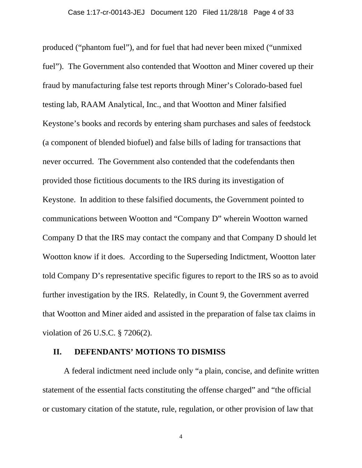produced ("phantom fuel"), and for fuel that had never been mixed ("unmixed fuel"). The Government also contended that Wootton and Miner covered up their fraud by manufacturing false test reports through Miner's Colorado-based fuel testing lab, RAAM Analytical, Inc., and that Wootton and Miner falsified Keystone's books and records by entering sham purchases and sales of feedstock (a component of blended biofuel) and false bills of lading for transactions that never occurred. The Government also contended that the codefendants then provided those fictitious documents to the IRS during its investigation of Keystone. In addition to these falsified documents, the Government pointed to communications between Wootton and "Company D" wherein Wootton warned Company D that the IRS may contact the company and that Company D should let Wootton know if it does. According to the Superseding Indictment, Wootton later told Company D's representative specific figures to report to the IRS so as to avoid further investigation by the IRS. Relatedly, in Count 9, the Government averred that Wootton and Miner aided and assisted in the preparation of false tax claims in violation of 26 U.S.C. § 7206(2).

### **II. DEFENDANTS' MOTIONS TO DISMISS**

A federal indictment need include only "a plain, concise, and definite written statement of the essential facts constituting the offense charged" and "the official or customary citation of the statute, rule, regulation, or other provision of law that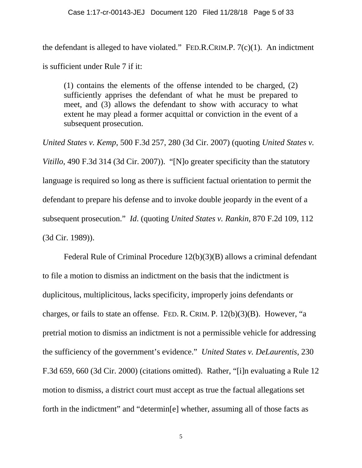the defendant is alleged to have violated." FED.R.CRIM.P.  $7(c)(1)$ . An indictment is sufficient under Rule 7 if it:

(1) contains the elements of the offense intended to be charged, (2) sufficiently apprises the defendant of what he must be prepared to meet, and (3) allows the defendant to show with accuracy to what extent he may plead a former acquittal or conviction in the event of a subsequent prosecution.

*United States v. Kemp*, 500 F.3d 257, 280 (3d Cir. 2007) (quoting *United States v. Vitillo*, 490 F.3d 314 (3d Cir. 2007)). "[N]o greater specificity than the statutory language is required so long as there is sufficient factual orientation to permit the defendant to prepare his defense and to invoke double jeopardy in the event of a subsequent prosecution." *Id*. (quoting *United States v. Rankin*, 870 F.2d 109, 112 (3d Cir. 1989)).

Federal Rule of Criminal Procedure 12(b)(3)(B) allows a criminal defendant to file a motion to dismiss an indictment on the basis that the indictment is duplicitous, multiplicitous, lacks specificity, improperly joins defendants or charges, or fails to state an offense. FED. R. CRIM. P. 12(b)(3)(B). However, "a pretrial motion to dismiss an indictment is not a permissible vehicle for addressing the sufficiency of the government's evidence." *United States v. DeLaurentis*, 230 F.3d 659, 660 (3d Cir. 2000) (citations omitted). Rather, "[i]n evaluating a Rule 12 motion to dismiss, a district court must accept as true the factual allegations set forth in the indictment" and "determin[e] whether, assuming all of those facts as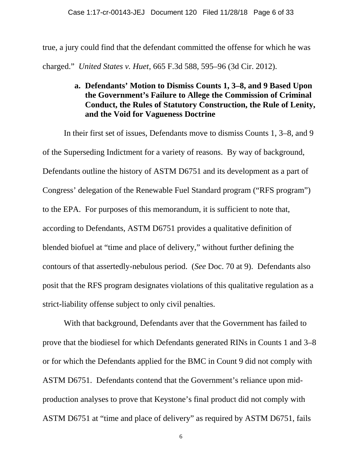true, a jury could find that the defendant committed the offense for which he was charged." *United States v. Huet*, 665 F.3d 588, 595–96 (3d Cir. 2012).

# **a. Defendants' Motion to Dismiss Counts 1, 3–8, and 9 Based Upon the Government's Failure to Allege the Commission of Criminal Conduct, the Rules of Statutory Construction, the Rule of Lenity, and the Void for Vagueness Doctrine**

In their first set of issues, Defendants move to dismiss Counts 1, 3–8, and 9 of the Superseding Indictment for a variety of reasons. By way of background, Defendants outline the history of ASTM D6751 and its development as a part of Congress' delegation of the Renewable Fuel Standard program ("RFS program") to the EPA. For purposes of this memorandum, it is sufficient to note that, according to Defendants, ASTM D6751 provides a qualitative definition of blended biofuel at "time and place of delivery," without further defining the contours of that assertedly-nebulous period. (*See* Doc. 70 at 9). Defendants also posit that the RFS program designates violations of this qualitative regulation as a strict-liability offense subject to only civil penalties.

With that background, Defendants aver that the Government has failed to prove that the biodiesel for which Defendants generated RINs in Counts 1 and 3–8 or for which the Defendants applied for the BMC in Count 9 did not comply with ASTM D6751. Defendants contend that the Government's reliance upon midproduction analyses to prove that Keystone's final product did not comply with ASTM D6751 at "time and place of delivery" as required by ASTM D6751, fails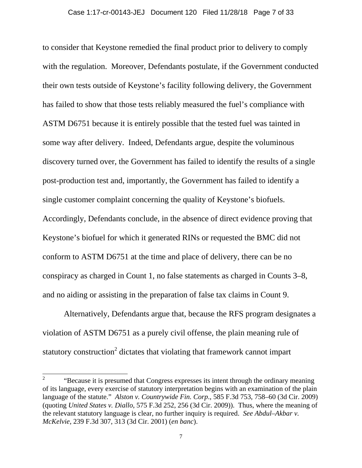to consider that Keystone remedied the final product prior to delivery to comply with the regulation. Moreover, Defendants postulate, if the Government conducted their own tests outside of Keystone's facility following delivery, the Government has failed to show that those tests reliably measured the fuel's compliance with ASTM D6751 because it is entirely possible that the tested fuel was tainted in some way after delivery. Indeed, Defendants argue, despite the voluminous discovery turned over, the Government has failed to identify the results of a single post-production test and, importantly, the Government has failed to identify a single customer complaint concerning the quality of Keystone's biofuels. Accordingly, Defendants conclude, in the absence of direct evidence proving that Keystone's biofuel for which it generated RINs or requested the BMC did not conform to ASTM D6751 at the time and place of delivery, there can be no conspiracy as charged in Count 1, no false statements as charged in Counts 3–8, and no aiding or assisting in the preparation of false tax claims in Count 9.

Alternatively, Defendants argue that, because the RFS program designates a violation of ASTM D6751 as a purely civil offense, the plain meaning rule of statutory construction<sup>2</sup> dictates that violating that framework cannot impart

<sup>2</sup>  "Because it is presumed that Congress expresses its intent through the ordinary meaning of its language, every exercise of statutory interpretation begins with an examination of the plain language of the statute." *Alston v. Countrywide Fin. Corp*., 585 F.3d 753, 758–60 (3d Cir. 2009) (quoting *United States v. Diallo*, 575 F.3d 252, 256 (3d Cir. 2009)). Thus, where the meaning of the relevant statutory language is clear, no further inquiry is required. *See Abdul–Akbar v. McKelvie*, 239 F.3d 307, 313 (3d Cir. 2001) (*en banc*).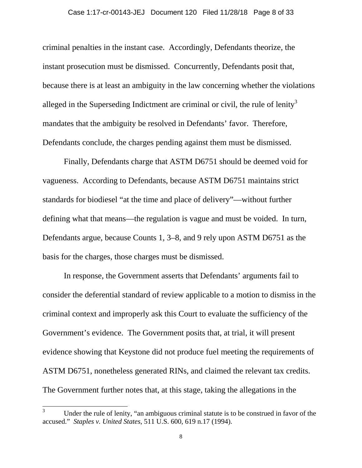criminal penalties in the instant case. Accordingly, Defendants theorize, the instant prosecution must be dismissed. Concurrently, Defendants posit that, because there is at least an ambiguity in the law concerning whether the violations alleged in the Superseding Indictment are criminal or civil, the rule of lenity<sup>3</sup> mandates that the ambiguity be resolved in Defendants' favor. Therefore, Defendants conclude, the charges pending against them must be dismissed.

Finally, Defendants charge that ASTM D6751 should be deemed void for vagueness. According to Defendants, because ASTM D6751 maintains strict standards for biodiesel "at the time and place of delivery"—without further defining what that means—the regulation is vague and must be voided. In turn, Defendants argue, because Counts 1, 3–8, and 9 rely upon ASTM D6751 as the basis for the charges, those charges must be dismissed.

In response, the Government asserts that Defendants' arguments fail to consider the deferential standard of review applicable to a motion to dismiss in the criminal context and improperly ask this Court to evaluate the sufficiency of the Government's evidence. The Government posits that, at trial, it will present evidence showing that Keystone did not produce fuel meeting the requirements of ASTM D6751, nonetheless generated RINs, and claimed the relevant tax credits. The Government further notes that, at this stage, taking the allegations in the

 3 Under the rule of lenity, "an ambiguous criminal statute is to be construed in favor of the accused." *Staples v. United States*, 511 U.S. 600, 619 n.17 (1994).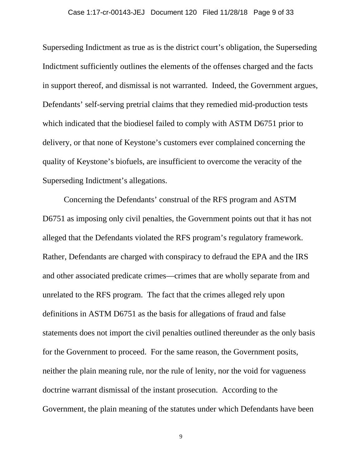Superseding Indictment as true as is the district court's obligation, the Superseding Indictment sufficiently outlines the elements of the offenses charged and the facts in support thereof, and dismissal is not warranted. Indeed, the Government argues, Defendants' self-serving pretrial claims that they remedied mid-production tests which indicated that the biodiesel failed to comply with ASTM D6751 prior to delivery, or that none of Keystone's customers ever complained concerning the quality of Keystone's biofuels, are insufficient to overcome the veracity of the Superseding Indictment's allegations.

Concerning the Defendants' construal of the RFS program and ASTM D6751 as imposing only civil penalties, the Government points out that it has not alleged that the Defendants violated the RFS program's regulatory framework. Rather, Defendants are charged with conspiracy to defraud the EPA and the IRS and other associated predicate crimes—crimes that are wholly separate from and unrelated to the RFS program. The fact that the crimes alleged rely upon definitions in ASTM D6751 as the basis for allegations of fraud and false statements does not import the civil penalties outlined thereunder as the only basis for the Government to proceed. For the same reason, the Government posits, neither the plain meaning rule, nor the rule of lenity, nor the void for vagueness doctrine warrant dismissal of the instant prosecution. According to the Government, the plain meaning of the statutes under which Defendants have been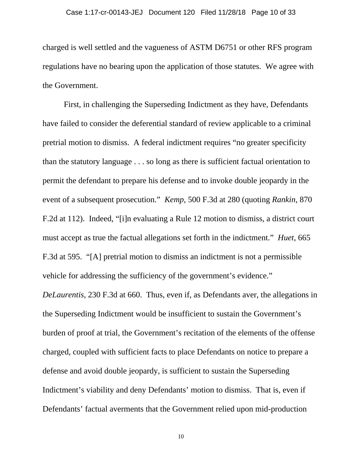charged is well settled and the vagueness of ASTM D6751 or other RFS program regulations have no bearing upon the application of those statutes. We agree with the Government.

First, in challenging the Superseding Indictment as they have, Defendants have failed to consider the deferential standard of review applicable to a criminal pretrial motion to dismiss. A federal indictment requires "no greater specificity than the statutory language . . . so long as there is sufficient factual orientation to permit the defendant to prepare his defense and to invoke double jeopardy in the event of a subsequent prosecution." *Kemp*, 500 F.3d at 280 (quoting *Rankin*, 870 F.2d at 112). Indeed, "[i]n evaluating a Rule 12 motion to dismiss, a district court must accept as true the factual allegations set forth in the indictment." *Huet*, 665 F.3d at 595. "[A] pretrial motion to dismiss an indictment is not a permissible vehicle for addressing the sufficiency of the government's evidence."

*DeLaurentis*, 230 F.3d at 660. Thus, even if, as Defendants aver, the allegations in the Superseding Indictment would be insufficient to sustain the Government's burden of proof at trial, the Government's recitation of the elements of the offense charged, coupled with sufficient facts to place Defendants on notice to prepare a defense and avoid double jeopardy, is sufficient to sustain the Superseding Indictment's viability and deny Defendants' motion to dismiss. That is, even if Defendants' factual averments that the Government relied upon mid-production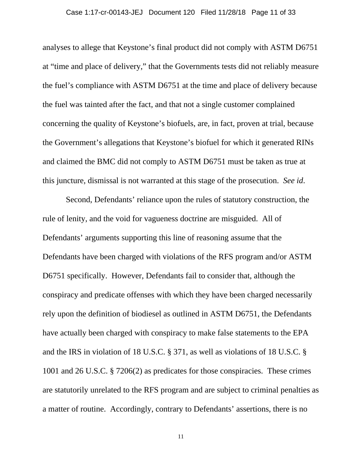analyses to allege that Keystone's final product did not comply with ASTM D6751 at "time and place of delivery," that the Governments tests did not reliably measure the fuel's compliance with ASTM D6751 at the time and place of delivery because the fuel was tainted after the fact, and that not a single customer complained concerning the quality of Keystone's biofuels, are, in fact, proven at trial, because the Government's allegations that Keystone's biofuel for which it generated RINs and claimed the BMC did not comply to ASTM D6751 must be taken as true at this juncture, dismissal is not warranted at this stage of the prosecution. *See id*.

 Second, Defendants' reliance upon the rules of statutory construction, the rule of lenity, and the void for vagueness doctrine are misguided. All of Defendants' arguments supporting this line of reasoning assume that the Defendants have been charged with violations of the RFS program and/or ASTM D6751 specifically. However, Defendants fail to consider that, although the conspiracy and predicate offenses with which they have been charged necessarily rely upon the definition of biodiesel as outlined in ASTM D6751, the Defendants have actually been charged with conspiracy to make false statements to the EPA and the IRS in violation of 18 U.S.C. § 371, as well as violations of 18 U.S.C. § 1001 and 26 U.S.C. § 7206(2) as predicates for those conspiracies. These crimes are statutorily unrelated to the RFS program and are subject to criminal penalties as a matter of routine. Accordingly, contrary to Defendants' assertions, there is no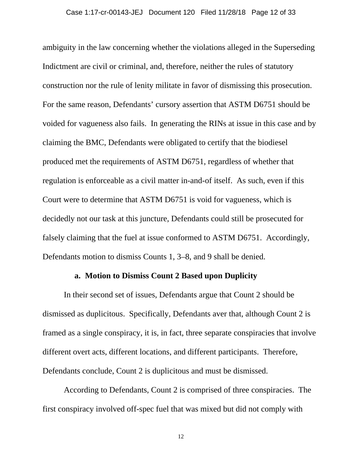ambiguity in the law concerning whether the violations alleged in the Superseding Indictment are civil or criminal, and, therefore, neither the rules of statutory construction nor the rule of lenity militate in favor of dismissing this prosecution. For the same reason, Defendants' cursory assertion that ASTM D6751 should be voided for vagueness also fails. In generating the RINs at issue in this case and by claiming the BMC, Defendants were obligated to certify that the biodiesel produced met the requirements of ASTM D6751, regardless of whether that regulation is enforceable as a civil matter in-and-of itself. As such, even if this Court were to determine that ASTM D6751 is void for vagueness, which is decidedly not our task at this juncture, Defendants could still be prosecuted for falsely claiming that the fuel at issue conformed to ASTM D6751. Accordingly, Defendants motion to dismiss Counts 1, 3–8, and 9 shall be denied.

### **a. Motion to Dismiss Count 2 Based upon Duplicity**

In their second set of issues, Defendants argue that Count 2 should be dismissed as duplicitous. Specifically, Defendants aver that, although Count 2 is framed as a single conspiracy, it is, in fact, three separate conspiracies that involve different overt acts, different locations, and different participants. Therefore, Defendants conclude, Count 2 is duplicitous and must be dismissed.

According to Defendants, Count 2 is comprised of three conspiracies. The first conspiracy involved off-spec fuel that was mixed but did not comply with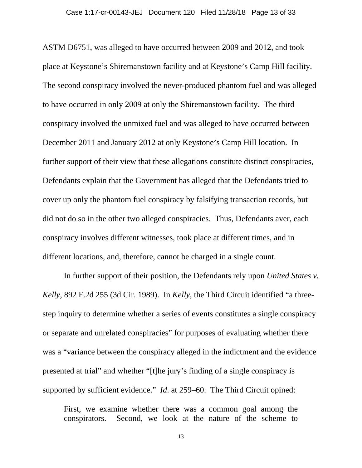ASTM D6751, was alleged to have occurred between 2009 and 2012, and took place at Keystone's Shiremanstown facility and at Keystone's Camp Hill facility. The second conspiracy involved the never-produced phantom fuel and was alleged to have occurred in only 2009 at only the Shiremanstown facility. The third conspiracy involved the unmixed fuel and was alleged to have occurred between December 2011 and January 2012 at only Keystone's Camp Hill location. In further support of their view that these allegations constitute distinct conspiracies, Defendants explain that the Government has alleged that the Defendants tried to cover up only the phantom fuel conspiracy by falsifying transaction records, but did not do so in the other two alleged conspiracies. Thus, Defendants aver, each conspiracy involves different witnesses, took place at different times, and in different locations, and, therefore, cannot be charged in a single count.

In further support of their position, the Defendants rely upon *United States v. Kelly*, 892 F.2d 255 (3d Cir. 1989). In *Kelly*, the Third Circuit identified "a threestep inquiry to determine whether a series of events constitutes a single conspiracy or separate and unrelated conspiracies" for purposes of evaluating whether there was a "variance between the conspiracy alleged in the indictment and the evidence presented at trial" and whether "[t]he jury's finding of a single conspiracy is supported by sufficient evidence." *Id*. at 259–60. The Third Circuit opined:

First, we examine whether there was a common goal among the conspirators. Second, we look at the nature of the scheme to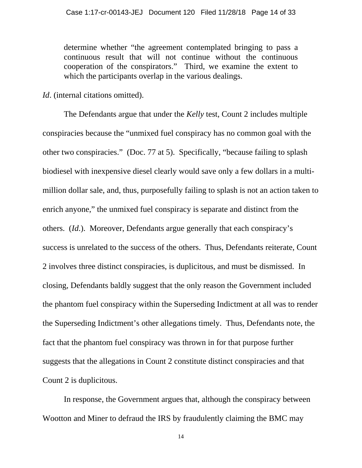determine whether "the agreement contemplated bringing to pass a continuous result that will not continue without the continuous cooperation of the conspirators." Third, we examine the extent to which the participants overlap in the various dealings.

*Id.* (internal citations omitted).

The Defendants argue that under the *Kelly* test, Count 2 includes multiple conspiracies because the "unmixed fuel conspiracy has no common goal with the other two conspiracies." (Doc. 77 at 5). Specifically, "because failing to splash biodiesel with inexpensive diesel clearly would save only a few dollars in a multimillion dollar sale, and, thus, purposefully failing to splash is not an action taken to enrich anyone," the unmixed fuel conspiracy is separate and distinct from the others. (*Id*.). Moreover, Defendants argue generally that each conspiracy's success is unrelated to the success of the others. Thus, Defendants reiterate, Count 2 involves three distinct conspiracies, is duplicitous, and must be dismissed. In closing, Defendants baldly suggest that the only reason the Government included the phantom fuel conspiracy within the Superseding Indictment at all was to render the Superseding Indictment's other allegations timely. Thus, Defendants note, the fact that the phantom fuel conspiracy was thrown in for that purpose further suggests that the allegations in Count 2 constitute distinct conspiracies and that Count 2 is duplicitous.

In response, the Government argues that, although the conspiracy between Wootton and Miner to defraud the IRS by fraudulently claiming the BMC may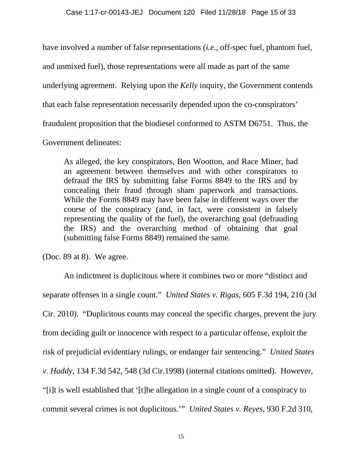have involved a number of false representations (*i.e*., off-spec fuel, phantom fuel,

and unmixed fuel), those representations were all made as part of the same

underlying agreement. Relying upon the *Kelly* inquiry, the Government contends

that each false representation necessarily depended upon the co-conspirators'

fraudulent proposition that the biodiesel conformed to ASTM D6751. Thus, the

Government delineates:

As alleged, the key conspirators, Ben Wootton, and Race Miner, had an agreement between themselves and with other conspirators to defraud the IRS by submitting false Forms 8849 to the IRS and by concealing their fraud through sham paperwork and transactions. While the Forms 8849 may have been false in different ways over the course of the conspiracy (and, in fact, were consistent in falsely representing the quality of the fuel), the overarching goal (defrauding the IRS) and the overarching method of obtaining that goal (submitting false Forms 8849) remained the same.

(Doc. 89 at 8). We agree.

An indictment is duplicitous where it combines two or more "distinct and separate offenses in a single count." *United States v. Rigas*, 605 F.3d 194, 210 (3d Cir. 2010). "Duplicitous counts may conceal the specific charges, prevent the jury from deciding guilt or innocence with respect to a particular offense, exploit the risk of prejudicial evidentiary rulings, or endanger fair sentencing." *United States v. Haddy*, 134 F.3d 542, 548 (3d Cir.1998) (internal citations omitted). However, "[i]t is well established that '[t]he allegation in a single count of a conspiracy to commit several crimes is not duplicitous.'" *United States v. Reyes*, 930 F.2d 310,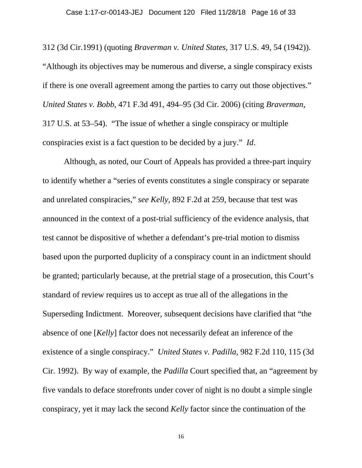312 (3d Cir.1991) (quoting *Braverman v. United States*, 317 U.S. 49, 54 (1942)). "Although its objectives may be numerous and diverse, a single conspiracy exists if there is one overall agreement among the parties to carry out those objectives." *United States v. Bobb*, 471 F.3d 491, 494–95 (3d Cir. 2006) (citing *Braverman*, 317 U.S. at 53–54). "The issue of whether a single conspiracy or multiple conspiracies exist is a fact question to be decided by a jury." *Id*.

Although, as noted, our Court of Appeals has provided a three-part inquiry to identify whether a "series of events constitutes a single conspiracy or separate and unrelated conspiracies," *see Kelly*, 892 F.2d at 259, because that test was announced in the context of a post-trial sufficiency of the evidence analysis, that test cannot be dispositive of whether a defendant's pre-trial motion to dismiss based upon the purported duplicity of a conspiracy count in an indictment should be granted; particularly because, at the pretrial stage of a prosecution, this Court's standard of review requires us to accept as true all of the allegations in the Superseding Indictment. Moreover, subsequent decisions have clarified that "the absence of one [*Kelly*] factor does not necessarily defeat an inference of the existence of a single conspiracy." *United States v. Padilla*, 982 F.2d 110, 115 (3d Cir. 1992). By way of example, the *Padilla* Court specified that, an "agreement by five vandals to deface storefronts under cover of night is no doubt a simple single conspiracy, yet it may lack the second *Kelly* factor since the continuation of the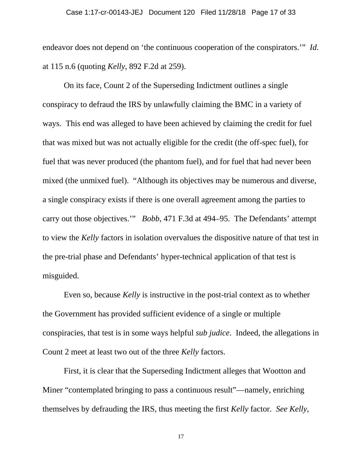endeavor does not depend on 'the continuous cooperation of the conspirators.'" *Id*. at 115 n.6 (quoting *Kelly*, 892 F.2d at 259).

On its face, Count 2 of the Superseding Indictment outlines a single conspiracy to defraud the IRS by unlawfully claiming the BMC in a variety of ways. This end was alleged to have been achieved by claiming the credit for fuel that was mixed but was not actually eligible for the credit (the off-spec fuel), for fuel that was never produced (the phantom fuel), and for fuel that had never been mixed (the unmixed fuel). "Although its objectives may be numerous and diverse, a single conspiracy exists if there is one overall agreement among the parties to carry out those objectives.'" *Bobb*, 471 F.3d at 494–95. The Defendants' attempt to view the *Kelly* factors in isolation overvalues the dispositive nature of that test in the pre-trial phase and Defendants' hyper-technical application of that test is misguided.

Even so, because *Kelly* is instructive in the post-trial context as to whether the Government has provided sufficient evidence of a single or multiple conspiracies, that test is in some ways helpful *sub judice*. Indeed, the allegations in Count 2 meet at least two out of the three *Kelly* factors.

First, it is clear that the Superseding Indictment alleges that Wootton and Miner "contemplated bringing to pass a continuous result"—namely, enriching themselves by defrauding the IRS, thus meeting the first *Kelly* factor. *See Kelly*,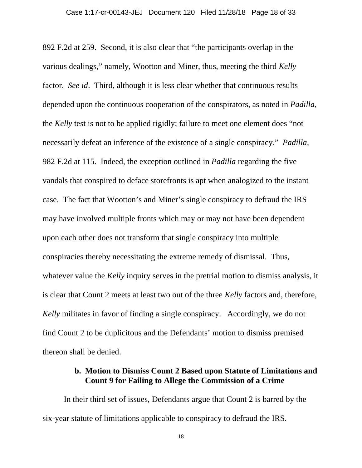892 F.2d at 259. Second, it is also clear that "the participants overlap in the various dealings," namely, Wootton and Miner, thus, meeting the third *Kelly* factor. *See id*. Third, although it is less clear whether that continuous results depended upon the continuous cooperation of the conspirators, as noted in *Padilla*, the *Kelly* test is not to be applied rigidly; failure to meet one element does "not necessarily defeat an inference of the existence of a single conspiracy." *Padilla*, 982 F.2d at 115. Indeed, the exception outlined in *Padilla* regarding the five vandals that conspired to deface storefronts is apt when analogized to the instant case. The fact that Wootton's and Miner's single conspiracy to defraud the IRS may have involved multiple fronts which may or may not have been dependent upon each other does not transform that single conspiracy into multiple conspiracies thereby necessitating the extreme remedy of dismissal. Thus, whatever value the *Kelly* inquiry serves in the pretrial motion to dismiss analysis, it is clear that Count 2 meets at least two out of the three *Kelly* factors and, therefore, *Kelly* militates in favor of finding a single conspiracy. Accordingly, we do not find Count 2 to be duplicitous and the Defendants' motion to dismiss premised thereon shall be denied.

## **b. Motion to Dismiss Count 2 Based upon Statute of Limitations and Count 9 for Failing to Allege the Commission of a Crime**

In their third set of issues, Defendants argue that Count 2 is barred by the six-year statute of limitations applicable to conspiracy to defraud the IRS.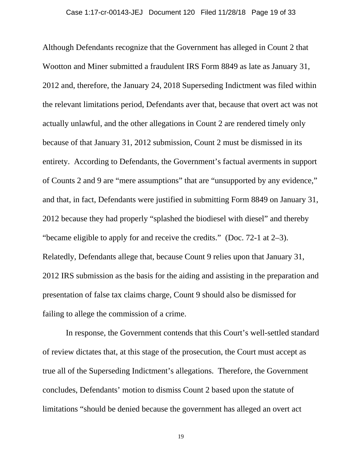Although Defendants recognize that the Government has alleged in Count 2 that Wootton and Miner submitted a fraudulent IRS Form 8849 as late as January 31, 2012 and, therefore, the January 24, 2018 Superseding Indictment was filed within the relevant limitations period, Defendants aver that, because that overt act was not actually unlawful, and the other allegations in Count 2 are rendered timely only because of that January 31, 2012 submission, Count 2 must be dismissed in its entirety. According to Defendants, the Government's factual averments in support of Counts 2 and 9 are "mere assumptions" that are "unsupported by any evidence," and that, in fact, Defendants were justified in submitting Form 8849 on January 31, 2012 because they had properly "splashed the biodiesel with diesel" and thereby "became eligible to apply for and receive the credits." (Doc. 72-1 at 2–3). Relatedly, Defendants allege that, because Count 9 relies upon that January 31, 2012 IRS submission as the basis for the aiding and assisting in the preparation and presentation of false tax claims charge, Count 9 should also be dismissed for failing to allege the commission of a crime.

 In response, the Government contends that this Court's well-settled standard of review dictates that, at this stage of the prosecution, the Court must accept as true all of the Superseding Indictment's allegations. Therefore, the Government concludes, Defendants' motion to dismiss Count 2 based upon the statute of limitations "should be denied because the government has alleged an overt act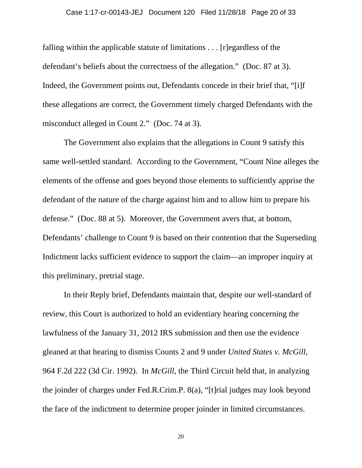falling within the applicable statute of limitations . . . [r]egardless of the defendant's beliefs about the correctness of the allegation." (Doc. 87 at 3). Indeed, the Government points out, Defendants concede in their brief that, "[i]f these allegations are correct, the Government timely charged Defendants with the misconduct alleged in Count 2." (Doc. 74 at 3).

The Government also explains that the allegations in Count 9 satisfy this same well-settled standard. According to the Government, "Count Nine alleges the elements of the offense and goes beyond those elements to sufficiently apprise the defendant of the nature of the charge against him and to allow him to prepare his defense." (Doc. 88 at 5). Moreover, the Government avers that, at bottom, Defendants' challenge to Count 9 is based on their contention that the Superseding Indictment lacks sufficient evidence to support the claim—an improper inquiry at this preliminary, pretrial stage.

In their Reply brief, Defendants maintain that, despite our well-standard of review, this Court is authorized to hold an evidentiary hearing concerning the lawfulness of the January 31, 2012 IRS submission and then use the evidence gleaned at that hearing to dismiss Counts 2 and 9 under *United States v. McGill*, 964 F.2d 222 (3d Cir. 1992). In *McGill*, the Third Circuit held that, in analyzing the joinder of charges under Fed.R.Crim.P. 8(a), "[t]rial judges may look beyond the face of the indictment to determine proper joinder in limited circumstances.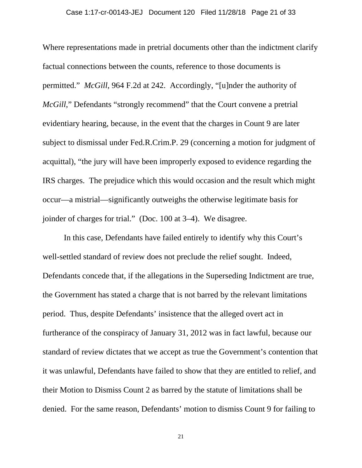Where representations made in pretrial documents other than the indictment clarify factual connections between the counts, reference to those documents is permitted." *McGill*, 964 F.2d at 242. Accordingly, "[u]nder the authority of *McGill*," Defendants "strongly recommend" that the Court convene a pretrial evidentiary hearing, because, in the event that the charges in Count 9 are later subject to dismissal under Fed.R.Crim.P. 29 (concerning a motion for judgment of acquittal), "the jury will have been improperly exposed to evidence regarding the IRS charges. The prejudice which this would occasion and the result which might occur—a mistrial—significantly outweighs the otherwise legitimate basis for joinder of charges for trial." (Doc. 100 at 3–4). We disagree.

In this case, Defendants have failed entirely to identify why this Court's well-settled standard of review does not preclude the relief sought. Indeed, Defendants concede that, if the allegations in the Superseding Indictment are true, the Government has stated a charge that is not barred by the relevant limitations period. Thus, despite Defendants' insistence that the alleged overt act in furtherance of the conspiracy of January 31, 2012 was in fact lawful, because our standard of review dictates that we accept as true the Government's contention that it was unlawful, Defendants have failed to show that they are entitled to relief, and their Motion to Dismiss Count 2 as barred by the statute of limitations shall be denied. For the same reason, Defendants' motion to dismiss Count 9 for failing to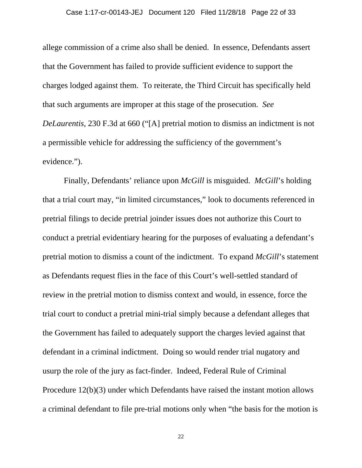allege commission of a crime also shall be denied. In essence, Defendants assert that the Government has failed to provide sufficient evidence to support the charges lodged against them. To reiterate, the Third Circuit has specifically held that such arguments are improper at this stage of the prosecution. *See DeLaurentis*, 230 F.3d at 660 ("[A] pretrial motion to dismiss an indictment is not a permissible vehicle for addressing the sufficiency of the government's evidence.").

Finally, Defendants' reliance upon *McGill* is misguided. *McGill*'s holding that a trial court may, "in limited circumstances," look to documents referenced in pretrial filings to decide pretrial joinder issues does not authorize this Court to conduct a pretrial evidentiary hearing for the purposes of evaluating a defendant's pretrial motion to dismiss a count of the indictment. To expand *McGill*'s statement as Defendants request flies in the face of this Court's well-settled standard of review in the pretrial motion to dismiss context and would, in essence, force the trial court to conduct a pretrial mini-trial simply because a defendant alleges that the Government has failed to adequately support the charges levied against that defendant in a criminal indictment. Doing so would render trial nugatory and usurp the role of the jury as fact-finder. Indeed, Federal Rule of Criminal Procedure 12(b)(3) under which Defendants have raised the instant motion allows a criminal defendant to file pre-trial motions only when "the basis for the motion is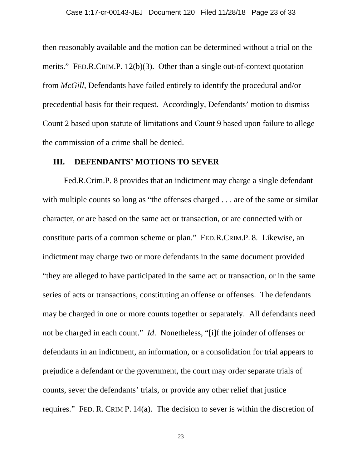then reasonably available and the motion can be determined without a trial on the merits." FED.R.CRIM.P. 12(b)(3). Other than a single out-of-context quotation from *McGill*, Defendants have failed entirely to identify the procedural and/or precedential basis for their request. Accordingly, Defendants' motion to dismiss Count 2 based upon statute of limitations and Count 9 based upon failure to allege the commission of a crime shall be denied.

#### **III. DEFENDANTS' MOTIONS TO SEVER**

 Fed.R.Crim.P. 8 provides that an indictment may charge a single defendant with multiple counts so long as "the offenses charged . . . are of the same or similar character, or are based on the same act or transaction, or are connected with or constitute parts of a common scheme or plan." FED.R.CRIM.P. 8. Likewise, an indictment may charge two or more defendants in the same document provided "they are alleged to have participated in the same act or transaction, or in the same series of acts or transactions, constituting an offense or offenses. The defendants may be charged in one or more counts together or separately. All defendants need not be charged in each count." *Id*. Nonetheless, "[i]f the joinder of offenses or defendants in an indictment, an information, or a consolidation for trial appears to prejudice a defendant or the government, the court may order separate trials of counts, sever the defendants' trials, or provide any other relief that justice requires." FED. R. CRIM P. 14(a). The decision to sever is within the discretion of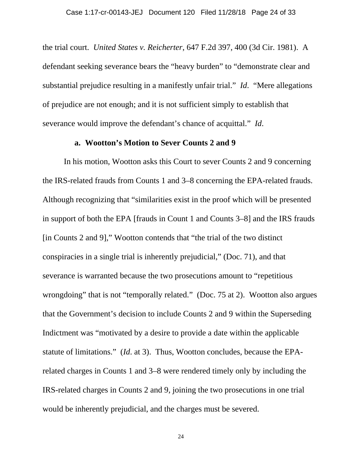the trial court. *United States v. Reicherter*, 647 F.2d 397, 400 (3d Cir. 1981). A defendant seeking severance bears the "heavy burden" to "demonstrate clear and substantial prejudice resulting in a manifestly unfair trial." *Id*. "Mere allegations of prejudice are not enough; and it is not sufficient simply to establish that severance would improve the defendant's chance of acquittal." *Id*.

#### **a. Wootton's Motion to Sever Counts 2 and 9**

In his motion, Wootton asks this Court to sever Counts 2 and 9 concerning the IRS-related frauds from Counts 1 and 3–8 concerning the EPA-related frauds. Although recognizing that "similarities exist in the proof which will be presented in support of both the EPA [frauds in Count 1 and Counts 3–8] and the IRS frauds [in Counts 2 and 9]," Wootton contends that "the trial of the two distinct conspiracies in a single trial is inherently prejudicial," (Doc. 71), and that severance is warranted because the two prosecutions amount to "repetitious wrongdoing" that is not "temporally related." (Doc. 75 at 2). Wootton also argues that the Government's decision to include Counts 2 and 9 within the Superseding Indictment was "motivated by a desire to provide a date within the applicable statute of limitations." (*Id*. at 3). Thus, Wootton concludes, because the EPArelated charges in Counts 1 and 3–8 were rendered timely only by including the IRS-related charges in Counts 2 and 9, joining the two prosecutions in one trial would be inherently prejudicial, and the charges must be severed.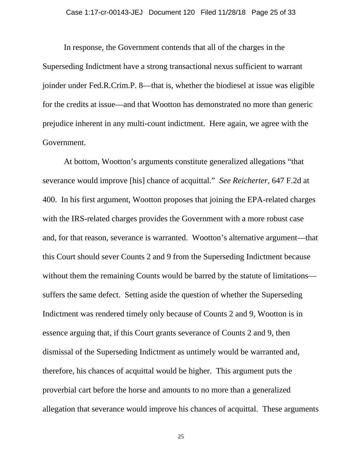In response, the Government contends that all of the charges in the Superseding Indictment have a strong transactional nexus sufficient to warrant joinder under Fed.R.Crim.P. 8—that is, whether the biodiesel at issue was eligible for the credits at issue—and that Wootton has demonstrated no more than generic prejudice inherent in any multi-count indictment. Here again, we agree with the Government.

At bottom, Wootton's arguments constitute generalized allegations "that severance would improve [his] chance of acquittal." *See Reicherter*, 647 F.2d at 400. In his first argument, Wootton proposes that joining the EPA-related charges with the IRS-related charges provides the Government with a more robust case and, for that reason, severance is warranted. Wootton's alternative argument—that this Court should sever Counts 2 and 9 from the Superseding Indictment because without them the remaining Counts would be barred by the statute of limitations suffers the same defect. Setting aside the question of whether the Superseding Indictment was rendered timely only because of Counts 2 and 9, Wootton is in essence arguing that, if this Court grants severance of Counts 2 and 9, then dismissal of the Superseding Indictment as untimely would be warranted and, therefore, his chances of acquittal would be higher. This argument puts the proverbial cart before the horse and amounts to no more than a generalized allegation that severance would improve his chances of acquittal. These arguments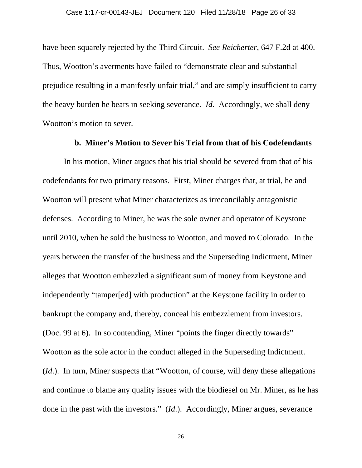have been squarely rejected by the Third Circuit. *See Reicherter*, 647 F.2d at 400. Thus, Wootton's averments have failed to "demonstrate clear and substantial prejudice resulting in a manifestly unfair trial," and are simply insufficient to carry the heavy burden he bears in seeking severance. *Id*. Accordingly, we shall deny Wootton's motion to sever.

#### **b. Miner's Motion to Sever his Trial from that of his Codefendants**

 In his motion, Miner argues that his trial should be severed from that of his codefendants for two primary reasons. First, Miner charges that, at trial, he and Wootton will present what Miner characterizes as irreconcilably antagonistic defenses. According to Miner, he was the sole owner and operator of Keystone until 2010, when he sold the business to Wootton, and moved to Colorado. In the years between the transfer of the business and the Superseding Indictment, Miner alleges that Wootton embezzled a significant sum of money from Keystone and independently "tamper[ed] with production" at the Keystone facility in order to bankrupt the company and, thereby, conceal his embezzlement from investors. (Doc. 99 at 6). In so contending, Miner "points the finger directly towards" Wootton as the sole actor in the conduct alleged in the Superseding Indictment. (*Id*.). In turn, Miner suspects that "Wootton, of course, will deny these allegations and continue to blame any quality issues with the biodiesel on Mr. Miner, as he has done in the past with the investors." (*Id*.). Accordingly, Miner argues, severance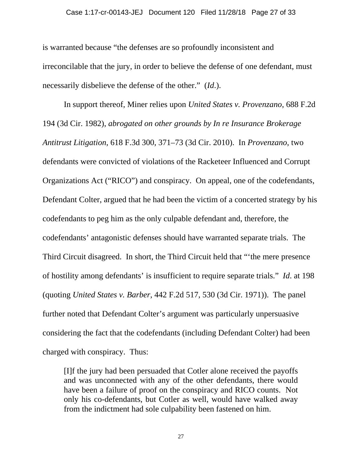is warranted because "the defenses are so profoundly inconsistent and irreconcilable that the jury, in order to believe the defense of one defendant, must necessarily disbelieve the defense of the other." (*Id*.).

In support thereof, Miner relies upon *United States v. Provenzano*, 688 F.2d 194 (3d Cir. 1982), *abrogated on other grounds by In re Insurance Brokerage Antitrust Litigation*, 618 F.3d 300, 371–73 (3d Cir. 2010). In *Provenzano*, two defendants were convicted of violations of the Racketeer Influenced and Corrupt Organizations Act ("RICO") and conspiracy. On appeal, one of the codefendants, Defendant Colter, argued that he had been the victim of a concerted strategy by his codefendants to peg him as the only culpable defendant and, therefore, the codefendants' antagonistic defenses should have warranted separate trials. The Third Circuit disagreed. In short, the Third Circuit held that "'the mere presence of hostility among defendants' is insufficient to require separate trials." *Id*. at 198 (quoting *United States v. Barber*, 442 F.2d 517, 530 (3d Cir. 1971)). The panel further noted that Defendant Colter's argument was particularly unpersuasive considering the fact that the codefendants (including Defendant Colter) had been charged with conspiracy. Thus:

[I]f the jury had been persuaded that Cotler alone received the payoffs and was unconnected with any of the other defendants, there would have been a failure of proof on the conspiracy and RICO counts. Not only his co-defendants, but Cotler as well, would have walked away from the indictment had sole culpability been fastened on him.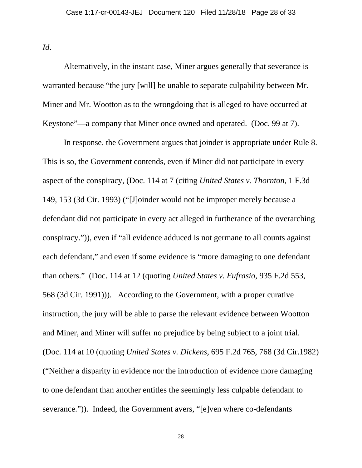*Id*.

 Alternatively, in the instant case, Miner argues generally that severance is warranted because "the jury [will] be unable to separate culpability between Mr. Miner and Mr. Wootton as to the wrongdoing that is alleged to have occurred at Keystone"—a company that Miner once owned and operated. (Doc. 99 at 7).

In response, the Government argues that joinder is appropriate under Rule 8. This is so, the Government contends, even if Miner did not participate in every aspect of the conspiracy, (Doc. 114 at 7 (citing *United States v. Thornton*, 1 F.3d 149, 153 (3d Cir. 1993) ("[J]oinder would not be improper merely because a defendant did not participate in every act alleged in furtherance of the overarching conspiracy.")), even if "all evidence adduced is not germane to all counts against each defendant," and even if some evidence is "more damaging to one defendant than others." (Doc. 114 at 12 (quoting *United States v*. *Eufrasio*, 935 F.2d 553, 568 (3d Cir. 1991))). According to the Government, with a proper curative instruction, the jury will be able to parse the relevant evidence between Wootton and Miner, and Miner will suffer no prejudice by being subject to a joint trial. (Doc. 114 at 10 (quoting *United States v. Dickens*, 695 F.2d 765, 768 (3d Cir.1982) ("Neither a disparity in evidence nor the introduction of evidence more damaging to one defendant than another entitles the seemingly less culpable defendant to severance.")). Indeed, the Government avers, "[e]ven where co-defendants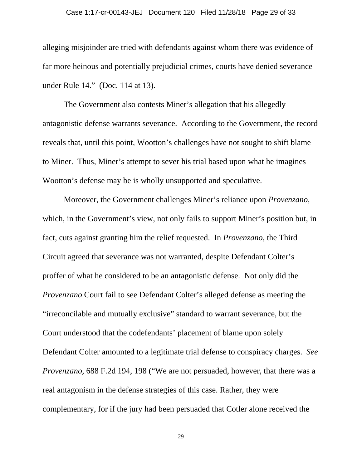#### Case 1:17-cr-00143-JEJ Document 120 Filed 11/28/18 Page 29 of 33

alleging misjoinder are tried with defendants against whom there was evidence of far more heinous and potentially prejudicial crimes, courts have denied severance under Rule 14." (Doc. 114 at 13).

The Government also contests Miner's allegation that his allegedly antagonistic defense warrants severance. According to the Government, the record reveals that, until this point, Wootton's challenges have not sought to shift blame to Miner. Thus, Miner's attempt to sever his trial based upon what he imagines Wootton's defense may be is wholly unsupported and speculative.

Moreover, the Government challenges Miner's reliance upon *Provenzano*, which, in the Government's view, not only fails to support Miner's position but, in fact, cuts against granting him the relief requested. In *Provenzano*, the Third Circuit agreed that severance was not warranted, despite Defendant Colter's proffer of what he considered to be an antagonistic defense. Not only did the *Provenzano* Court fail to see Defendant Colter's alleged defense as meeting the "irreconcilable and mutually exclusive" standard to warrant severance, but the Court understood that the codefendants' placement of blame upon solely Defendant Colter amounted to a legitimate trial defense to conspiracy charges. *See Provenzano*, 688 F.2d 194, 198 ("We are not persuaded, however, that there was a real antagonism in the defense strategies of this case. Rather, they were complementary, for if the jury had been persuaded that Cotler alone received the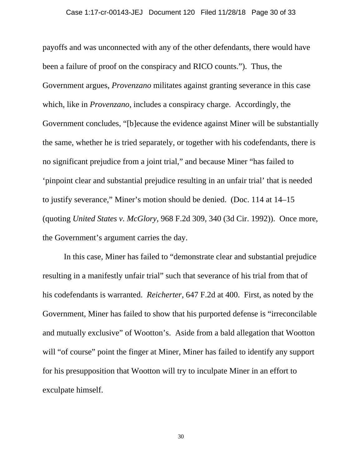payoffs and was unconnected with any of the other defendants, there would have been a failure of proof on the conspiracy and RICO counts."). Thus, the Government argues, *Provenzano* militates against granting severance in this case which, like in *Provenzano*, includes a conspiracy charge. Accordingly, the Government concludes, "[b]ecause the evidence against Miner will be substantially the same, whether he is tried separately, or together with his codefendants, there is no significant prejudice from a joint trial," and because Miner "has failed to 'pinpoint clear and substantial prejudice resulting in an unfair trial' that is needed to justify severance," Miner's motion should be denied. (Doc. 114 at 14–15 (quoting *United States v. McGlory*, 968 F.2d 309, 340 (3d Cir. 1992)). Once more, the Government's argument carries the day.

In this case, Miner has failed to "demonstrate clear and substantial prejudice resulting in a manifestly unfair trial" such that severance of his trial from that of his codefendants is warranted. *Reicherter*, 647 F.2d at 400. First, as noted by the Government, Miner has failed to show that his purported defense is "irreconcilable and mutually exclusive" of Wootton's. Aside from a bald allegation that Wootton will "of course" point the finger at Miner, Miner has failed to identify any support for his presupposition that Wootton will try to inculpate Miner in an effort to exculpate himself.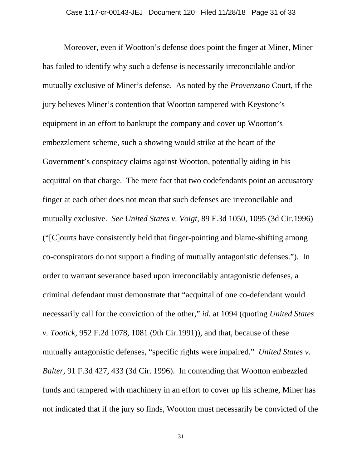Moreover, even if Wootton's defense does point the finger at Miner, Miner has failed to identify why such a defense is necessarily irreconcilable and/or mutually exclusive of Miner's defense. As noted by the *Provenzano* Court, if the jury believes Miner's contention that Wootton tampered with Keystone's equipment in an effort to bankrupt the company and cover up Wootton's embezzlement scheme, such a showing would strike at the heart of the Government's conspiracy claims against Wootton, potentially aiding in his acquittal on that charge. The mere fact that two codefendants point an accusatory finger at each other does not mean that such defenses are irreconcilable and mutually exclusive. *See United States v. Voigt*, 89 F.3d 1050, 1095 (3d Cir.1996) ("[C]ourts have consistently held that finger-pointing and blame-shifting among co-conspirators do not support a finding of mutually antagonistic defenses."). In order to warrant severance based upon irreconcilably antagonistic defenses, a criminal defendant must demonstrate that "acquittal of one co-defendant would necessarily call for the conviction of the other," *id*. at 1094 (quoting *United States v. Tootick*, 952 F.2d 1078, 1081 (9th Cir.1991)), and that, because of these mutually antagonistic defenses, "specific rights were impaired." *United States v. Balter*, 91 F.3d 427, 433 (3d Cir. 1996). In contending that Wootton embezzled funds and tampered with machinery in an effort to cover up his scheme, Miner has not indicated that if the jury so finds, Wootton must necessarily be convicted of the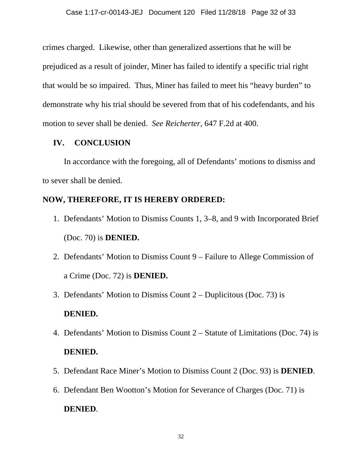crimes charged. Likewise, other than generalized assertions that he will be prejudiced as a result of joinder, Miner has failed to identify a specific trial right that would be so impaired. Thus, Miner has failed to meet his "heavy burden" to demonstrate why his trial should be severed from that of his codefendants, and his motion to sever shall be denied. *See Reicherter*, 647 F.2d at 400.

## **IV. CONCLUSION**

In accordance with the foregoing, all of Defendants' motions to dismiss and to sever shall be denied.

# **NOW, THEREFORE, IT IS HEREBY ORDERED:**

- 1. Defendants' Motion to Dismiss Counts 1, 3–8, and 9 with Incorporated Brief (Doc. 70) is **DENIED.**
- 2. Defendants' Motion to Dismiss Count 9 Failure to Allege Commission of a Crime (Doc. 72) is **DENIED.**
- 3. Defendants' Motion to Dismiss Count 2 Duplicitous (Doc. 73) is **DENIED.**
- 4. Defendants' Motion to Dismiss Count 2 Statute of Limitations (Doc. 74) is **DENIED.**
- 5. Defendant Race Miner's Motion to Dismiss Count 2 (Doc. 93) is **DENIED**.
- 6. Defendant Ben Wootton's Motion for Severance of Charges (Doc. 71) is

# **DENIED**.